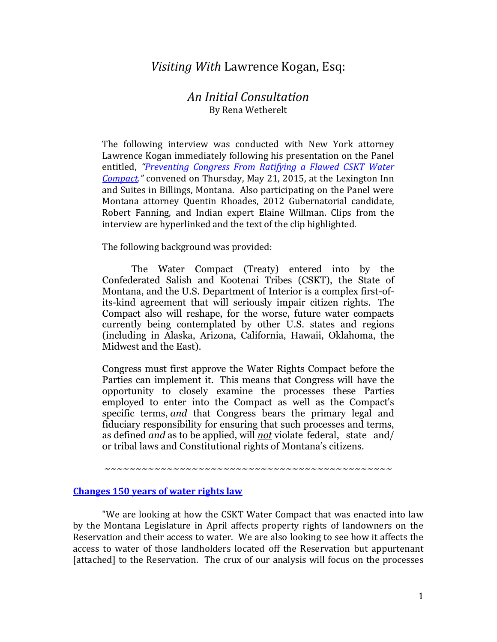# *Visiting With* Lawrence Kogan, Esq:

## *An Initial Consultation* By Rena Wetherelt

The following interview was conducted with New York attorney Lawrence Kogan immediately following his presentation on the Panel entitled, *"[Preventing Congress From Ratifying a Flawed CSKT Water](https://nebula.wsimg.com/f3bd1b31f6a663ab0824d26ea09715bf?AccessKeyId=39A2DC689E4CA87C906D&disposition=0&alloworigin=1)  [Compact](https://nebula.wsimg.com/f3bd1b31f6a663ab0824d26ea09715bf?AccessKeyId=39A2DC689E4CA87C906D&disposition=0&alloworigin=1)."* convened on Thursday, May 21, 2015, at the Lexington Inn and Suites in Billings, Montana. Also participating on the Panel were Montana attorney Quentin Rhoades, 2012 Gubernatorial candidate, Robert Fanning, and Indian expert Elaine Willman. Clips from the interview are hyperlinked and the text of the clip highlighted.

The following background was provided:

The Water Compact (Treaty) entered into by the Confederated Salish and Kootenai Tribes (CSKT), the State of Montana, and the U.S. Department of Interior is a complex first-ofits-kind agreement that will seriously impair citizen rights. The Compact also will reshape, for the worse, future water compacts currently being contemplated by other U.S. states and regions (including in Alaska, Arizona, California, Hawaii, Oklahoma, the Midwest and the East).

Congress must first approve the Water Rights Compact before the Parties can implement it. This means that Congress will have the opportunity to closely examine the processes these Parties employed to enter into the Compact as well as the Compact's specific terms, *and* that Congress bears the primary legal and fiduciary responsibility for ensuring that such processes and terms, as defined *and* as to be applied, will *not* violate federal, state and/ or tribal laws and Constitutional rights of Montana's citizens.

~~~~~~~~~~~~~~~~~~~~~~~~~~~~~~~~~~~~~~~~~~~~~~

#### **[Changes 150 years of water rights law](https://youtu.be/NRd7KTkE4xo)**

 "We are looking at how the CSKT Water Compact that was enacted into law by the Montana Legislature in April affects property rights of landowners on the Reservation and their access to water. We are also looking to see how it affects the access to water of those landholders located off the Reservation but appurtenant [attached] to the Reservation. The crux of our analysis will focus on the processes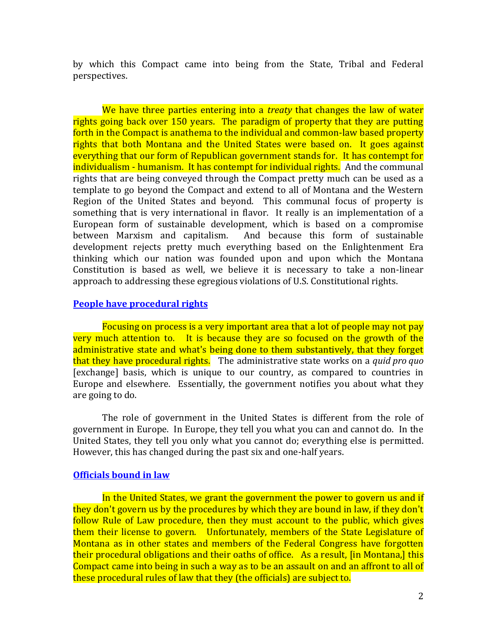by which this Compact came into being from the State, Tribal and Federal perspectives.

We have three parties entering into a *treaty* that changes the law of water rights going back over 150 years. The paradigm of property that they are putting forth in the Compact is anathema to the individual and common-law based property rights that both Montana and the United States were based on. It goes against everything that our form of Republican government stands for. It has contempt for individualism - humanism. It has contempt for individual rights. And the communal rights that are being conveyed through the Compact pretty much can be used as a template to go beyond the Compact and extend to all of Montana and the Western Region of the United States and beyond. This communal focus of property is something that is very international in flavor. It really is an implementation of a European form of sustainable development, which is based on a compromise between Marxism and capitalism. And because this form of sustainable development rejects pretty much everything based on the Enlightenment Era thinking which our nation was founded upon and upon which the Montana Constitution is based as well, we believe it is necessary to take a non-linear approach to addressing these egregious violations of U.S. Constitutional rights.

## **[People have procedural rights](https://youtu.be/Eh2T2vVTmcg)**

Focusing on process is a very important area that a lot of people may not pay very much attention to. It is because they are so focused on the growth of the administrative state and what's being done to them substantively, that they forget that they have procedural rights. The administrative state works on a *quid pro quo* [exchange] basis, which is unique to our country, as compared to countries in Europe and elsewhere. Essentially, the government notifies you about what they are going to do.

The role of government in the United States is different from the role of government in Europe. In Europe, they tell you what you can and cannot do. In the United States, they tell you only what you cannot do; everything else is permitted. However, this has changed during the past six and one-half years.

### **[Officials bound in law](https://youtu.be/1o5rEC2ulMA)**

In the United States, we grant the government the power to govern us and if they don't govern us by the procedures by which they are bound in law, if they don't follow Rule of Law procedure, then they must account to the public, which gives them their license to govern. Unfortunately, members of the State Legislature of Montana as in other states and members of the Federal Congress have forgotten their procedural obligations and their oaths of office. As a result, [in Montana,] this Compact came into being in such a way as to be an assault on and an affront to all of these procedural rules of law that they (the officials) are subject to.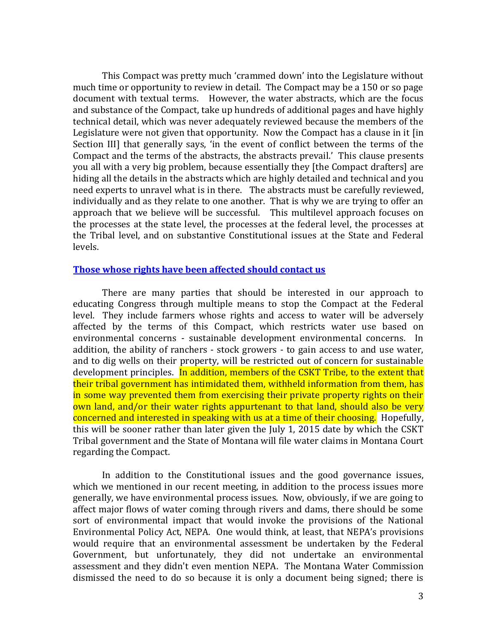This Compact was pretty much 'crammed down' into the Legislature without much time or opportunity to review in detail. The Compact may be a 150 or so page document with textual terms. However, the water abstracts, which are the focus and substance of the Compact, take up hundreds of additional pages and have highly technical detail, which was never adequately reviewed because the members of the Legislature were not given that opportunity. Now the Compact has a clause in it [in Section III] that generally says, 'in the event of conflict between the terms of the Compact and the terms of the abstracts, the abstracts prevail.' This clause presents you all with a very big problem, because essentially they [the Compact drafters] are hiding all the details in the abstracts which are highly detailed and technical and you need experts to unravel what is in there. The abstracts must be carefully reviewed, individually and as they relate to one another. That is why we are trying to offer an approach that we believe will be successful. This multilevel approach focuses on the processes at the state level, the processes at the federal level, the processes at the Tribal level, and on substantive Constitutional issues at the State and Federal levels.

#### **[Those whose rights have been affected should contact us](https://youtu.be/1o5rEC2ulMA)**

 There are many parties that should be interested in our approach to educating Congress through multiple means to stop the Compact at the Federal level. They include farmers whose rights and access to water will be adversely affected by the terms of this Compact, which restricts water use based on environmental concerns - sustainable development environmental concerns. In addition, the ability of ranchers - stock growers - to gain access to and use water, and to dig wells on their property, will be restricted out of concern for sustainable development principles. In addition, members of the CSKT Tribe, to the extent that their tribal government has intimidated them, withheld information from them, has in some way prevented them from exercising their private property rights on their own land, and/or their water rights appurtenant to that land, should also be very concerned and interested in speaking with us at a time of their choosing. Hopefully, this will be sooner rather than later given the July 1, 2015 date by which the CSKT Tribal government and the State of Montana will file water claims in Montana Court regarding the Compact.

 In addition to the Constitutional issues and the good governance issues, which we mentioned in our recent meeting, in addition to the process issues more generally, we have environmental process issues. Now, obviously, if we are going to affect major flows of water coming through rivers and dams, there should be some sort of environmental impact that would invoke the provisions of the National Environmental Policy Act, NEPA. One would think, at least, that NEPA's provisions would require that an environmental assessment be undertaken by the Federal Government, but unfortunately, they did not undertake an environmental assessment and they didn't even mention NEPA. The Montana Water Commission dismissed the need to do so because it is only a document being signed; there is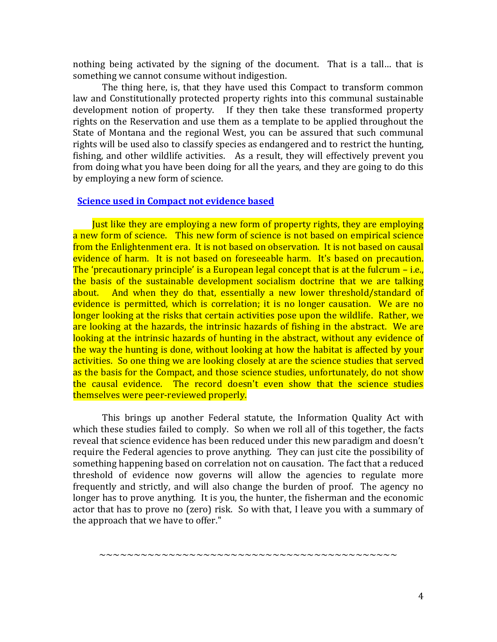nothing being activated by the signing of the document. That is a tall… that is something we cannot consume without indigestion.

The thing here, is, that they have used this Compact to transform common law and Constitutionally protected property rights into this communal sustainable development notion of property. If they then take these transformed property rights on the Reservation and use them as a template to be applied throughout the State of Montana and the regional West, you can be assured that such communal rights will be used also to classify species as endangered and to restrict the hunting, fishing, and other wildlife activities. As a result, they will effectively prevent you from doing what you have been doing for all the years, and they are going to do this by employing a new form of science.

## **[Science used in Compact not evidence based](https://youtu.be/ztANN7ah0XY)**

Just like they are employing a new form of property rights, they are employing a new form of science. This new form of science is not based on empirical science from the Enlightenment era. It is not based on observation. It is not based on causal evidence of harm. It is not based on foreseeable harm. It's based on precaution. The 'precautionary principle' is a European legal concept that is at the fulcrum – i.e., the basis of the sustainable development socialism doctrine that we are talking about. And when they do that, essentially a new lower threshold/standard of evidence is permitted, which is correlation; it is no longer causation. We are no longer looking at the risks that certain activities pose upon the wildlife. Rather, we are looking at the hazards, the intrinsic hazards of fishing in the abstract. We are looking at the intrinsic hazards of hunting in the abstract, without any evidence of the way the hunting is done, without looking at how the habitat is affected by your activities. So one thing we are looking closely at are the science studies that served as the basis for the Compact, and those science studies, unfortunately, do not show the causal evidence. The record doesn't even show that the science studies themselves were peer-reviewed properly.

This brings up another Federal statute, the Information Quality Act with which these studies failed to comply. So when we roll all of this together, the facts reveal that science evidence has been reduced under this new paradigm and doesn't require the Federal agencies to prove anything. They can just cite the possibility of something happening based on correlation not on causation. The fact that a reduced threshold of evidence now governs will allow the agencies to regulate more frequently and strictly, and will also change the burden of proof. The agency no longer has to prove anything. It is you, the hunter, the fisherman and the economic actor that has to prove no (zero) risk. So with that, I leave you with a summary of the approach that we have to offer."

~~~~~~~~~~~~~~~~~~~~~~~~~~~~~~~~~~~~~~~~~~~